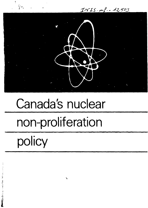$INIS.mf - 12503$ 

# Canada's nuclear non-proliferation policy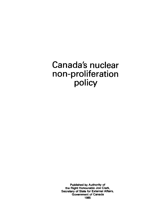## **Canada's nuclear non-proliferation policy**

**Published by Authority of the Right Honourable Joe Clark, Secretary of State for External Affairs, Government of Canada 1985**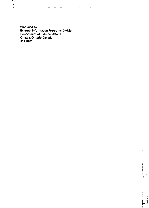Ŋ

**Produced by External Information Programs Division Department of External Affairs, Ottawa, Ontario Canada K1A 0G2**

 $\mathbf{I}$  $\overline{1}$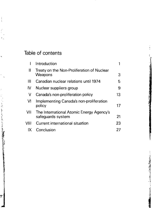## Table of contents

 $\frac{1}{2}$ 

 $\begin{bmatrix} 1 \\ 1 \\ 1 \end{bmatrix}$ 

Ļ

ų

 $\ddot{\cdot}$ 

مي<br>م

|      | Introduction                                          |    |
|------|-------------------------------------------------------|----|
| ‼    | Treaty on the Non-Proliferation of Nuclear<br>Weapons | З  |
| Ш    | Canadian nuclear relations until 1974                 | 5  |
| IV   | Nuclear suppliers group                               | 9  |
| V    | Canada's non-proliferation policy                     | 13 |
| VI   | Implementing Canada's non-proliferation<br>policy     | 17 |
| VII  | The International Atomic Energy Agency's              |    |
|      | safeguards system                                     | 21 |
| VIII | Current international situation                       | 23 |
| IХ   | Conclusion                                            | 27 |

 $\ddot{ }$ 

ţ

**TRACTACTS**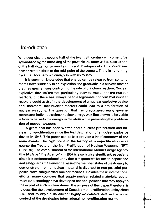## I Introduction

Whatever else the second half of the twentieth century will come to be symbolized by, the unlocking of the power in the atom will be seen as one of the half dozen or so most significant developments. This power was demonstrated close to the mid-point of the century. There is no turning back the clock. Atomic energy is with us to stay.

It is common knowledge that energy can be released from splitting atoms both suddenly in an explosion and gradually in a nuclear reactor that has mechanisms controlling the rate of the chain reaction. Nuclear explosive devices are not particularly easy to make, nor are nuclear reactors, but there has always been a legitimate concern that nuclear reactors could assist in the development of a nuclear explosive device and, therefore, that nuclear reactors could lead to a proliferation of nuclear weapons. The question that has preoccupied many governments and individuals since nuclear energy was first shown to be viable is how to harness the energy in the atom while preventing the proliferation of nuclear weapons.

A great deal has been written about nuclear proliferation and nuclear non-proliferation since the first detonation of a nuclear explosive device in 1945. This paper can at best provide a brief summary of the main events. The high point in the history of non-proliferation is of course the Treaty on the Non-Proliferation of Nuclear Weapons (NPT) (1968-70). The establishment of the International Atomic Energy Agency (the IAEA or "The Agency") in 1957 is also highly significant, especially since it is the international body that is responsible for onsite inspections and safeguards measures that assist the member states of the Agency to demonstrate that no nuclear material is diverted to non-peaceful purposes from safeguarded nuclear facilities. Besides these international efforts, many countries that supply nuclear related materials, equipment or technology have developed national policies that they apply to the export of such nuclear items. The purpose of this paper, therefore, is to describe the development of Canada's non-proliferation policy since 1945 and to explain its current highly articulated state in the wider context of the developing international non-proliferation regime.

Ţ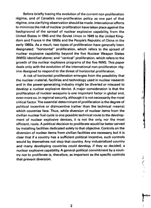Before briefly tracing the evolution of the current non-proliferation régime, and of Canada's non-proliferation policy as one part of that régime, one clarifying observation should be made. International efforts to minimize the risk of nuclear proliferation have taken place against the background of the spread of nuclear explosive capability, from the United States in 1945 and the Soviet Union in 1949 to the United Kingdom and France in the 1950s and the People's Republic of China in the early 1960s. As a result, two types of proliferation have generally been designated: "horizontal" proliferation, which refers to the spread of nuclear explosive capability beyond the five Nuclear Weapon States (NWS) identified above; and "vertical" proliferation, which refers to the growth of the nuclear explosive programs of the five NWS. This paper deals only with the evolution of the international non-proliferation régime designed to respond to the threat of horizontal proliferation.

A risk of horizontal proliferation emerges from the possibility that the nuclear material, facilities and technology used in nuclear research and in the power-generating industry might be diverted or misused to develop a nuclear explosive device. A major consideration is that the proliferation of nuclear weapons is one important factor in global and, even more so, in regional security, although it is not necessarily the most icritical factor. The essential determinant of proliferation is the degree of political incentive or disincentive (rather than the technical means) which countries face. Thus, while diversion of nuclear items from the civilian nuclear fuel cycle is one possible technical route to the development of nuclear explosive devices, it is not the only, nor the most efficient, route. A political decision to proliferate would be better served by installing facilities dedicated solely to that objective. Controls on the diversion of nuclear items from civilian facilities are necessary, but it is clear that if a country has a sufficient political incentive, such controls would by themselves not stop that country. Any industrialized country and many developing countries could develop, if they so decided, a nuclear explosive capability. A general political commitment by a country not to proliferate is, therefore, as important as the specific controls that prevent diversion.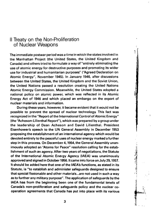## II Treaty on the Non-Proliteration of Nuclear Weapons

**The immediate postwar period was a time in which the states involved in the Manhattan Project (the United States, the United Kingdom and Canada) and others tried to formulate a way of "entirely eliminating the use of atomic energy for destructive purposes and promoting its wider use for industrial and humanitarian purposes" ("Agreed Declaration on Atomic Energy", November 1945). In January 1946, after discussions between the United States, the United Kingdom and the Soviet Union, the United Nations passed a resolution creating the United Nations Atomic Energy Commission. Meanwhile, the United States adopted a national policy on atomic power, which was reflected in its Atomic Energy Act of 1946 and which placed an embargo on the export of nuclear materials and information.**

**During these years, however, it became evident that it would not be possible to prevent the spread of nuclear technology. This fact was recognized in the "Report of the International Control of Atomic Energy" (the "Acheson-Lilienthal Report"), which was prepared by a group under the leadership of Dean Acheson and David Lilienthal. President Eisenhower's speech to the UN General Assembly in December 1953 proposing the establishment of an international agency which would be devoted entirely to the peaceful uses of nuclear energy marked a further step in this process. On December 4,1954, the General Assembly unan- ;** imously adopted an "Atoms for Peace" resolution calling for the estab-<br>
lishment of such an agency. After two years of negotiations, the Statute<br>
of the International Atomic Energy Agency (IAEA) was unanimously<br>
approved a **lishment of such an agency. After two years of negotiations, the Statute | of the International Atomic Energy Agency (IAEA) was unanimously \*'i** approved and signed in October 1956. It came into force on July 29, 1957. **It should be added here that one of the IAEA's functions, as stated in its f Statute, is "to establish and administer safeguards designed to ensure f. that special fissionable and other materials...are not used in such a way ' ' as to further any military purpose". The application of safeguards by the**<br> **AEA has from the beginning been one of the fundamental tenets of<br>
Canada's non-proliferation and safeguards policy and the nuclear co-IAEA** has from the beginning been one of the fundamental tenets of **Canada's non-proliferation and safeguards policy and the nuclear co- § operation agreements that Canada has put into place with its various**

**1**

**t**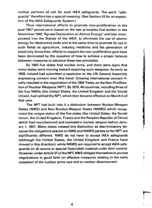nuclear partners all call for such IAEA safeguards. The word "safeguards" therefore has a special meaning. (See Section VII for an exposition of the IAEA Safeguards System.)

Thus international efforts to promote non-proliferation in the post-1957 period were based on the two principles first written in the November 1945 "Agreed Declaration on Atomic Energy" and later incorporated into the Statute of the IAEA: to eliminate the use of atomic energy for destructive ends and at the same time to promote its use in such fields as agriculture, industry, medicine and the generation of electricity. Since then, efforts to support the non-proliferation goal have been dominated by the question of how to achieve a proper balance between measures to advance these two principles.

By 1965 five states had nuclear arms, and there were signs that more states were moving toward acquiring such weapons. As early as 1958, Ireland had submitted a resolution to the UN General Assembly expressing concern over this trend. Growing international concern finally resulted in the negotiation of the 1968 Treaty on the Non-Proliferation of Nuclear Weapons (NPT). By 1970,40 countries, including three of the five NWSs (the United States, the United Kingdom and the Soviet Union), had ratified the NPT, which then became effective on March 5 of that year.

The NPT had built into it a distinction between Nuclear-Weapon States (NWS) and Non-Nuclear-Weapon States (NNWS) which recognized the unique status of the five states (the United States, the Soviet Union, the United Kingdom, France and the People's Republic of China) which had manufactured and exploded a nuclear weapon before January 1, 1967. Many states viewed this distinction as discriminatory because the obligations placed on NWS and NNWS parties to the NPT are significantly different. NWS do not have to accept IAEA safeguards (although the United States, the United Kingdom and France have moved in this direction), while NNWS are required to accept IAEA safeguards on all source or special fissionable material under their control. However, under Article VI of the NPT, NWS obliged themselves to pursue ! negotiations in good faith on effective measures relating to the early  $\mathcal{L}$ cessation of the nuclear arms race and to nuclear disarmament.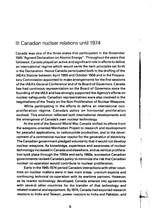## Ill Canadian nuclear relations until 1974

Canada was one of the three states that participated in the November 1945 "Agreed Declaration on Atomic Energy". Throughout the years that followed, Canada played an active and significant role in efforts to define an international régime which would serve the twin principles set forth in the Declaration. Hence Canada participated both in the drafting of the IAEA's Statute between April 1955 and October 1956 and in the Preparatory Commission appointed to make arrangements for the first sessions of the IAEA's General Conference and of its Board of Governors. Canada has had continous representation on the Board of Governors since the founding of the IAEA and has strongly supported the Agency's efforts on nuclear safeguards. Canadian representatives were also involved in the negotiations of the Treaty on the Non-Proliferation of Nuclear Weapons.

While participating in the efforts to define an international nonproliferation régime, Canada's policy on horizontal proliferation evolved. This evolution reflected both international developments and the emergence of Canada's own nuclear technology.

At the end of the Second World War, Canada shifted its efforts from the weapons-oriented Manhattan Project to research and development for peaceful applications, to radionuclide production, and to the development of a commercial nuclear reactor for the generation of electricity. The Canadian government pledged voluntarily that it would not develop nuclear weapons. As knowledge, experience and awareness of nuclear technology increased in Canada and elsewhere, and as vertical proliferation took place through the 1950s and early 1960s, successive Canadian governments revised Canada's policy to minimize the risk that Canadian nuclear co-operation would contribute to nuclear proliferation.

Early in the 1945-1974 period Canada's interactions with other countries on nuclear matters were in two main areas: uranium exports and continuing technical co-operation with its wartime partners. However, as its reactor technology developed, Canada entered into agreements with several other countries for the transfer of that technology and related material and equipment. By 1974, Canada had exported research reactors to India and Taiwan, power reactors to India and Pakistan, and

5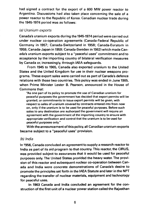had signed a contract for the export of a 600 MW power reactor to Argentina. Discussions had also taken place concerning the sale of a power reactor to the Republic cf Korea. Canadian nuclear trade during the 1945-1974 period was as follows:

#### (a) Uranium exports

Canada's uranium exports during the 1945-1974 period were carried out under nuclear co-operation agreements (Canada-Federal Republic of Germany in 1957; Canada-Switzerland in 1958; Canada-Euratom in 1959; Canada-Japan in 1959; Canada-Sweden in 1962) which made Canada's uranium exports subject to a "peaceful uses" commitment and to acceptance by the importing country of bilateral verification measures by Canada or, increasingly, through IAEA safeguards.

From 1945 to 1965, Canada also exported uranium to the United States and the United Kingdom for use in their nuclear weapons programs. These export sales were carried out as part of Canada's defence relations with those two countries. This policy was ended in June 1965, when Prime Minister Lester B. Pearson, announced in the House of Commons that:

"As one part of its policy to promote the use of Canadian uranium for peaceful purposes the government has decided that export permits will be granted, or commitments to issue export permits will be given, with respect to sales of uranium covered by contracts entered into from now on, only if the uranium is to be used for peaceful purposes. Before such sales to any destination are authorized the government will require an agreement with the government of the importing country to ensure with appropriate verification and control that the uranium is to be used for peaceful purposes only."

With the announcement of this policy, all Canadian uranium exports became subject to a "peaceful uses" provision.

#### (b) India

In 1956, Canada concluded an agreement to supply a research reactor to India as part of its aid program to that country. This reactor, the CIRUS, was provided subject to assurances that it would be used for peaceful purposes only. The United States provided the heavy water. The provision of this reactor and subsequent nuclear co-operation between Canada and India were concrete demonstrations of Canada's desire to promote the principles set forth in the IAEA Statute and later in the NPT regarding the transfer of nuclear materials, equipment and technology for peaceful uses.

In 1963 Canada and India concluded an agreement for the construction of the first unit of a nuclear power station called the Rajasthan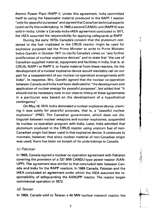Atomic Power Plant (RAPP I). Under this agreement, India committed itself to using the fissionable material produced in the RAPP 1 reactor "only for peaceful purposes" and agreed that Canadian technical experts could verify this undertaking. In 1966 a second CANDU unit (RAPP II) was sold to India. Under a Canada-India-IAEA agreement concluded in 1971, the IAEA assumed the responsibility for applying safeguards at RAPP.

During the early 1970s Canada's concern that the plutonium contained in the fuel irradiated in the CIRUS reactor might be used for explosive purposes led the Prime Minister to write to Prime Minister Indira Gandhi in October 1971 to clarify Canada's views on "any further proliferation of nuclear explosive devices" and to state that "the use of Canadian-supplied material, equipment and facilities in India, that is, at CIRUS, RAPP I or RAPP II, or fissile material from these reactors, for the development of a nuclear explosive device would inevitably call on our part for a reassessment of our nuclear co-operation arrangements with India". In response, Mrs. Gandhi agreed that the nuclear co-operation between Canada and India had been dedicated to "the development and application of nuclear energy for peaceful purposes", but added that "it should not be necessary now in our view to interpret these agreements in a particular way based on the development of a hypothetical contingency".

On May 18,1974, India detonated a nuclear explosive device, claiming it was solely for peaceful purposes, that is, a "peaceful nuclear explosion" (PNE). The Canadian government, which does not distinguish between nuclear weapons and nuclear explosives, suspended its nuclear co-operation program with India. Later, India admitted that plutonium produced in the CIRUS reactor using uranium fuel of non-Canadian origin had been used in that explosive device. It continues to maintain, however, that since nuclear material of non-Canadian origin was used, there has been no breach of its undertakings to Canada.

#### (c) Pakistan

In 1959, Canada signed a nuclear co-operation agreement with Pakistan covering the provision of a 137 MW CANDU-type power reactor (KAN-UPP). The agreement was similar to that concluded later between Canada and India for the RAPP reactors. In 1969 Canada, Pakistan and the IAEA concluded an agreement under which the IAEA assumed the responsibility of safeguarding the KANUPP reactor. The reactor began commercial operation in 1972.

#### (d) Taiwan

In 1969, Canada sold to Taiwan a 40 MW nuclear research reactor, the

**I**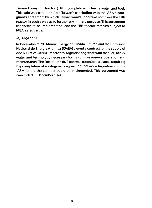Taiwan Research Reactor (TRR), complete with heavy water and fuel. This sale was conditional on Taiwan's concluding with the IAEA a safeguards agreement by which Taiwan would undertake not to use the TRR reactor in such a way as to further any military purpose. This agreement continues to be implemented, and the TRR reactor remains subject to IAEA safeguards.

## (e) Argentina

In December 1973, Atomic Energy of Canada Limited and the Comision Nacional de Energia Atomica (CNEA) signed a contract for the supply of one 600 MW CANDU reactor to Argentina together with the fuel, heavy water and technology necessary for its commissioning, operation and maintenance. The December 1973 contract contained a clause requiring the completion of a safeguards agreement between Argentina and the IAEA before the contract could be implemented. This agreement was concluded in December 1974.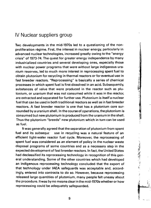## IV Nuclear suppliers group

Two developments in the mid-1970s led to a questioning of the nonproliferation régime. First, the interest in nuclear energy, particularly in advanced nuclear technologies, increased greatly owing to the "energy crisis" of 1973-74. The quest for greater energy independence by many industrialized countries and several developing ones, especially those with nuclear power programs that were without large indigenous uranium reserves, led to much more interest in reprocessing spent fuel to obtain plutonium for recycling in thermal reactors or for eventual use in<sup>t</sup> fast breeder reactors. "Reprocessing" is basically a series of chemical processes in which spent fuel is first dissolved in an acid. Subsequently, substances of value that were produced in the reactor such as plutonium, or uranium that was not consumed while it was in the reactor, are extracted and separated for further use. Plutonium is itself a nuclear fuel that can be used in both traditional reactors as well as in fast breeder reactors. A fast breeder reactor is one that has a plutonium core surrounded by a uranium shell. In the course of operations, the plutonium is consumed but new plutonium is produced from the uranium in the shell. Thus the plutonium "breeds" new plutonium which in turn can be used as fuel.

It was generally agreed that the separation of plutonium from spent fuel and its subseque use in recycling was a natural feature of an efficient light-water reactor fuel cycle. Moreover, the reprocessing of spent fuel was considered as an element of policy in the nuclear waste disposal programs of some countries and as a necessary step in the expected development of fast breeder reactors. In fact, the United States had declassified its reprocessing technology in recognition of this general understanding. Some of the other countries which had developed an indigenous reprocessing technology concluded that the export of that technology under IAEA safeguards was acceptable and, accordingly, entered into contracts to do so. However, because reprocessing released large quantities of plutonium, many people felt uneasy about the procedure. It was by no means clear in the mid-1970s whether or how reprocessing could be adequately safeguarded.

(「高速電」をはっている しょう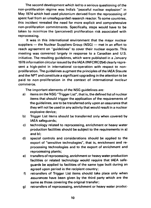The second development which led to a serious questioning of the non-proliferation regime was India's "peaceful nuclear explosion" in May 1974 which had used plutonium derived from the reprocessing of spent fuel from an unsafeguarded research reactor. To some countries, this incident revealed the need for more explicit and comprehensive non-proliferation commitments. Specifically, steps would have to be taken to minimize the (perceived) proliferation risk associated with reprocessing.

It was in this international environment that the major nuclear suppliers — the Nuclear Suppliers Group (NSG) — met in an effort to reach agreement on "guidelines" to cover their nuclear exports. This meeting was convened largely in response to a Canadian and U.S. initiative. The resulting guidelines, which were published in a January 1978 information circular issued by the IAEA (INFCIRO254) clearly represent a high-point in international co-operation with respect to nonproliferation. The quidelines augment the principles of the IAEA Staute and the NPT and constitute a significant upgrading in the attention to be paid to non-proliferation in the context of international nuclear commerce.

The important elements of the NSG guidelines are:

- a) items on the NSG "Trigger List", that is, the defined list of nuclear items that should trigger the application of the requirements of the guidelines, are to be transferred only upon an assurance that they will not be used in any activity that would result in a nuclear explosive device;
- b) Trigger List items should be transferred only when covered by IAEA safeguards;
- c) technology related to reprocessing, enrichment or heavy water production facilities should be subject to the requirements in a) and b);
- d) special controls and considerations should be applied to the export of "sensitive technologies", that is, enrichment and reprocessing technologies and to the export of enrichment and reprocessing plants;
- e) transfers of reprocessing, enrichment or heavy water production facilities or related technology would require that IAEA safeguards be applied to facilities of the same type built during an agreed upon period in the recipient country;
- f) retransfers of Trigger List items should take place only when assurances have been given by the third party which are the same as those covering the original transfer;
- g) retransfers of reprocessing, enrichment or heavy water produc-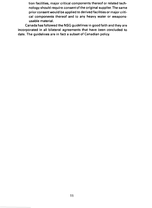tion facilities, major critical components thereof or related technology should require consent of the original supplier. The same prior consent would be applied to derived facilities or major critical components thereof and to any heavy water or weaponsusable material.

Canada has followed the NSG guidelines in good faith and they are incorporated in all bilateral agreements that have been concluded to date. The guidelines are in fact a subset of Canadian policy.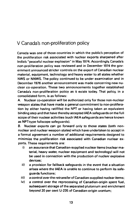## V Canada's non-proliferation policy

Canada was one of those countries in which the public's perception of the proliferation risk associated with nuclear exports sharpened after India's "peaceful nuclear explosion" in May 1974. Accordingly, Canada's non-proliferation policy was reviewed and in December 1974 the government announced stricter controls on the export of Canadian nuclear material, equipment, technology and heavy water to all states whether NWS or NNWS. The policy continued to be under examination and in December 1976 another announcement was made concerning new nuclear co-operation. These two announcements together established Canada's non-proliferation policy as it exists today. That policy, in a consolidated form, is as follows:

A. Nuclear co-operation will be authorized only for those non-nuclear weapon states that have made a general commitment to non-proliferation by either having ratififed the NPT or having taken an equivalent binding step and that have thereby accepted IAEA safeguards on the full scope of their nuclear activities (such IAEA safeguards are hence known as NPT-type fullscope safeguards).

B. Nuclear exports can go forward only to those states (both nonnuclear and nuclear weapon states) which have undertaken to accept in a formal agreement a number of additional requirements designed to minimize the proliferation risk associated with Canadian nuclear exports. These requirements are:

- i) an assurance that Canadian-supplied nuclear items (nuclear material, heavy water, nuclear equipment and technology) will not be used in connection with the production of nuclear explosive devices;
- ii) a provision for fallback safeguards in the event that a situation arises where the IAEA is unable to continue to perform its safeguards functions;
- iii) a control over the retransfer of Canadian-supplied nuclear items;
- iv) a control over the reprocessing of Canadian-origin spent fuel, subsequent storage of the separated plutonium and enrichment beyond 20 per cent U-235 of Canadian-origin uranium;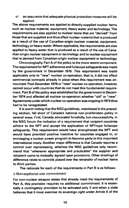**v) an assurance that adequate physical protection measures will be applied.**

**The above requirements are applied to directly-supplied nuclear items such as nuclear material, equipment, heavy water and technology. The requirements are also applied to nuclear items that are "derived" from those that are supplied and thus affect nuclear material that is produced as a result of the use of Canadian-origin nuclear material, equipment, technology or heavy water. Where applicable, the requirements are also applied to heavy water that is produced as a result of the use of Canadian-origin nuclear equipment or technology and to nuclear equipment that is derived from Canadian-origin nuclear equipment or technology.**

**Chronologically, Part A of the policy is the more recent component. The requirement for NPT adherence and fullscope safeguards was made by the government in December 1976. This requirement was made applicable only to "new" nuclear co-operation, that is, it did not affect commercial contracts already in place when this requirement was announced. Post-December 1976 or "new" nuclear co-operation, however, cannot occur with countries that do not meet this fundamental requirement. Part B of the policy was established by the government in December 1974 and affected all nuclear co-operation whether "old" or "new". Agreements under which nuclear co-operation was ongoing in 1974 thus had to be renegotiated.**

**It is worth noting that the NSG guidelines, mentioned in the preceding section, fall short of Canada's national non-proliferation policy in several ways. First, Canada advocated forcefully, but unsuccessfully, in the NSG forum the inclusion of a requirement that recipient countries adhere to the NPT and accept the application of NPT-type fullscope safeguards. This requirement would have strengthened the NPT and would have provided positive incentive for countries engaged in, or envisaging a nuclear power program to become party to this important international treaty. Another major difference is that Canada requires a control over reprocessing, whereas the NSG guidelines only recommend that "whenever appropriate and practicable" the supplier and recipient come to mutually agreed upon provisions. Other shadings of difference relate to controls placed over the retransfer of nuclear items to third parties.**

**The rationale for each of the requirements in Part B is as follows:**

#### **i) Non-explosive use commitment**

**For non-nuclear weapon states that already meet the requirements of Part A, this provision requires no additional commitment. It is essentially a contingency provision to be activated only if and when a state believes that it must exercise its sovereign right under Article X of the**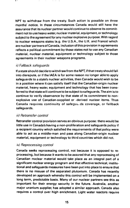NPT to withdraw from the treaty. Such action is possible on three months' notice. In these circumstances Canada would still have the assurance that its nuclear partner would continue to observe its commitment not to use heavy water, nuclear material, equipment, or technology subject to the agreement for any nuclear explosive purpose. With regard to nuclear weapons states (e.g. the U.S.A., the U.K. and France) which are nuclear partners of Canada, inclusion of this provision in agreements reflects a political commitment by those states not to use any Canadian material, nuclear material, equipment or technology subject to those agreements in their nuclear weapons programs.

#### ii) Fallback safeguards

If a state should decide to withdraw from the NPT, if that treaty should fall into disrepute, or if the IAEA is for some reason no longer able to apply safeguards to a state's nuclear activities, then Canada would wish to be in a position where it can satisfy itself that the Canadian-origin nuclear material, heavy water, equipment and technology that has been transferred to that state will continue to be subject to safeguards. The aim is to continue to verify observance by that state of its commitment to nonexplosive use of Canadian-supplied or -derived nuclear items. Thus Canada requires continuity of safegua.ds coverage, or fallback safeguards.

## iii) Retransfer control

Retransfer control provision serves an obvious purpose: there would be little use in Canada's having a non-proliferation and safeguards policy if a recipient country which satisfied the requirements of that policy were able to act as a middle-man and pass along Canadian-origin nuclear material, equipment or technology to third countries which did not.

## iv) Reprocessing control

Canada seeks reprocessing control, not because it is opposed to reprocessing, but because it wants to be assured that any reprocessing of Canadian nuclear material would take place as an integral part of a significant nuclear energy program and that effective technical, institutional and safeguards measures have been put into place to ensure that there is no misuse of the separated plutonium. Canada has recently developed an approach whereby this control will be implemented on a long term, predictable basis. Many of our nuclear partners see this as important for their energy security in the future. Australia, another major uranium supplier, has adopted a similar approach. Canada also requires a control over high enrichment. Light water reactors require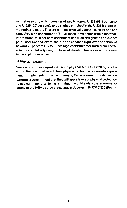natural uranium, which consists of two isotopes, U-238 (99.3 per cent) and U-235 (0.7 per cent), to be slightly enriched in the U-235 isotope to maintain a reaction. This enrichment is typically up to 2 per cent or 3 per cent. Very high enrichment of U-235 leads to weapons usable material. Internationally 20 per cent enrichment has been designated as a cut-off point and Canada exercises a prior consent right over enrichment beyond 20 per cent U-235. Since high enrichment for nuclear fuel cycle activities is relatively rare, the focus of attention has been on reprocessing and plutonium use.

#### v) Physical protection

Since all countries regard matters of physical security as falling strictly within their national jurisdiction, physical protection is a sensitive question. In implementing this requirement, Canada seeks from its nuclear partners a commitment that they will apply levels of physical protection to nuclear material which as a minimum would satisfy the recommendations of the IAEA as they are set out in document INFCIRC 225 (Rev 1).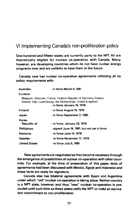## VI Implementing Canada's non-proliferation policy

One-hundred-and-fifteen states are currently party to the NPT. All are theoretically eligible for nuclear co-operation with Canada. Many, however, are developing countries which do not have nuclear energy programs now and are unlikely to have them in the future.

Canada now has nuclear co-operation agreements reflecting all its policy requirements with:

| Australia             | - in force March 9, 1981                                                                                                                                       |
|-----------------------|----------------------------------------------------------------------------------------------------------------------------------------------------------------|
| Euratom               |                                                                                                                                                                |
|                       | (Belgium, Denmark, France, Federal Republic of Germany, Greece,<br>Ireland, Italy, Luxembourg, the Netherlands, United Kingdom)<br>- in force January 16, 1978 |
| <b>Finland</b>        | - in force August 15, 1976                                                                                                                                     |
| Japan                 | - in force September 2, 1980                                                                                                                                   |
| Korea.<br>Republic of | - in force, January 26, 1976                                                                                                                                   |
| <b>Phillipines</b>    | - signed June 19, 1981, but not yet in force                                                                                                                   |
| Romania               | - in force June 14, 1978                                                                                                                                       |
| Sweden                | - in force November 17, 1978                                                                                                                                   |
| <b>United States</b>  | - in force July 9, 1980                                                                                                                                        |

New agreements are negotiated as they become necessary through the emergence of possibilities of nuclear co-operation with other countries. For example, at the time of preparation of this paper, texts of agreements had been discussed with Mexico, Egypt and Indonesia and these texts are ready for signature.

Canada also has bilateral agreements with Spain and Argentina under which "old" nuclear co-operation is taking place. Neither country is a **NPT** state, however, and thus "new" nuclear co-operation is precluded until such time as these states ratify the **NPT** or make an equivalent commitment to non-proliferation.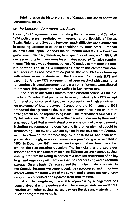**Brief notes on the history of some of Canada's nuclear co-operation agreements follow:**

#### **{a; The European Community and Japan**

**By early 1977, agreements incorporating the requirements of Canada's 1974 policy were negotiated with Argentina, the Republic of Korea, Spain, Finland, and Sweden. However, much difficulty was experienced in securing acceptance of these conditions by some other European countries and Japan, Canada's major uranium markets. The Canadian government decided, therefore, to suspend as of January 1, 1977, all nuclear exports to those countries until they accepted Canada's requirements. This step was a demonstration of Canada's commitment to nonproliferation and of its willingness to accept the commercial consequences of its non-proliferation policy. The year 1977 was taken up with intensive negotiations with the European Community (EC) and Japan. By January 1978 agreement had been reached with Japan on a renegotiated bilateral agreement, and uranium shipments were allowed to proceed. This agreement was ratified in September 1980.**

**The discussions with Euratom took a different course. All the elements of Canada's 1974 policy had been negotiated by late 1977 except for that of a prior consent right over reprocessing and high enrichment. An exchange of letters between Canada and the EC in January 1978 embodied the agreement that had been reached including an interim arrangement on the reprocessing issue. The International Nuclear Fuel Cycle Evaluation (INFCE), discussed below, was underway by then and it was recognized that a multilateral consensus on fuel cycles generally including the reprocessing question and its proliferation risks could be forthcoming. The EC and Canada agreed in the 1978 Interim Arrangement to return to the reprocessing issue once INFCE had been completed. Accordingly, new discussions on reprocessing were initiated in 1980. In December 1981, another exchange of letters took place that settled the reprocessing question. The formula that the two sides adopted comprised a description of the EC's current and planned nuclear energy program including in particular a detailed description of policy, legal and regulatory elements relevant to reprocessing and plutonium storage. On this basis, Canada agreed that nuclear material subject to the Canada-Euratom Agreement could be reprocessed and plutonium stored within the framework of the current and planned nuclear energy program as described and updated from time to time.**

**A similar long-term, predictable reprocessing arrangement has been arrived at with Sweden and similar arrangements are under discussion with other nuclear partners where the size and maturity of the nuclear program warrants it.**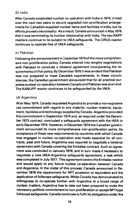## (b) India

**After Canada suspended nuclear co-operation with India in 1974, it tried over the next two years to secure upgraded non-proliferation arrangements for Canadian-supplied nuclear items and facilities in India, but its efforts proved unsuccessful. As a result, Canada announced in May 1976 that it was terminating its nuclear relationship with India. The two RAPP reactors continue to be subject to IAEA safeguards. The CIRUS reactor continues to operate free of IAEA safeguards.**

## **(c) Pakistan**

**Following the announcement in December 1974 of the more comprehensive non-proliferation policy, Canada entered into lengthy negotiations with Pakistan to conclude a bilateral agreement incorporating the requirements of that policy. By December 1976 it was evident that Pakistan was not prepared to meet Canada's requirements. In these circumstances, the Canadian government announced that for all practical purposes nuclear co-operation between Canada and Pakistan was at an end. The KANUPP reactor continues to be safeguarded by the IAEA.**

## **(d) Argentina**

**After May 1974, Canada requested Argentina to provide a non-explosive use commitment with regard to any material, nuclear material, equipment, facilities and technology supplied by Canada. Argentina provided this commitment in September 1974 and, as required under the December 1973 contract, concluded a safeguards agreement with the IAEA in early December 1974. However, in December 1974 the Canadian government announced its more comprehensive non-proliferation policy. As acceptance of these new requirements by countries with which Canada was engaged in nuclear co-operation was made essential for all contracts, past and future, Argentina was required to negotiate a bilateral agreement with Canada covering the Embalse contract. Such an agreement was concluded in January 1976, and in turn made it necessary to negotiate a new IAEA-Argentina safeguards agreement, a task which was completed in July 1977. This agreement covers the Embalse reactor and would apply to any future nuclear co-operation between Canada and Argentina. In the midst of this process, Canada announced in December 1976 the requirement for NPT accession or equivalent and the application of fullscope safeguards. While Canada has demonstrated its willingness to co-operate further with Argentina in a broad range of nuclear matters, Argentina has to date not been prepared to make the necessary political commitment to non-proliferation or accept NPT-type fullscope safeguards. Canada continues to fulfil its obligations under the**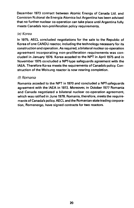**December 1973 contract between Atomic Energy of Canada Ltd. and Comision National de Energia Atomica but Argentina has been advised that no further nuclear co-operation can take place until Argentina fully meets Canada's non-proliferation policy requirements.**

## **(e) Korea**

**In 1975, AECL concluded negotiations for the sale to the Republic of Korea of one CANDU reactor, including the technology necessary for its construction and operation. As required, a bilateral nuclear co-operation agreement incorporating non-proliferation requirements was concluded in January 1976. Korea acceded to the NPT in April 1975 and in November 1975 concluded a NPT-type safeguards agreement with the IAEA. Therefore Korea meets the requirements of Canada's policy. Construction of the Wolsung reactor is now nearing completion.**

## **(f) Romania**

**Romania acceded to the NPT in 1970 and concluded a NPT-safeguards agreement with the IAEA in 1972. Moreover, in October 1977 Romania and Canada negotiated a bilateral nuclear co-operation agreement, which was ratified in June 1978. Romania, therefore, meets the requirements of Canada's policy. AECL and the Romanian state trading corporation, Romenergo, have signed contracts for two reactors.**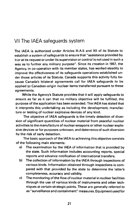## VII The IAEA safeguards system

The IAEA is authorized under Articles III.A.5 and XII of its Statute to establish a system of safeguards to ensure that "assistance provided by it or at its request or under its supervision or control is not used in such a way as to further any military purpose". Since its creation in 1957, the Agency, in co-operation with its member states, has worked steadily to improve the effectiveness of its safeguards operations established under those articles of its Statute. Canada supports this activity fully because Canada's bilateral agreements call for IAEA safeguards to be applied to Canadian-origin nuclear items transferred pursuant to these agreements.

While the Agency's Statute provides that it will apply safeguards to ensure as far as it can that no military objective will be fulfilled, the purpose of the application has been extended. The IAEA has stated that it interprets this undertaking as including the development, manufacture or testing of nuclear explosive devices of any kind.

The objective of IAEA safeguards is the timely detection of diversion of significant quantities of nuclear material from peaceful nuclear activities to the manufacture of nuclear weapons or other nuclear explosive devices or for purposes unknown, and deterrence of such diversion by the risk of early detection.

The basic approach of the IAEA to achieving this objective consists of the following main elements:

- a) The examination by the IAEA of information that is provided by the state. Such information includes accounting reports, special reports and advance notification of international transfers.
- b) The collection of information by the IAEA through inspections of various kinds. Information obtained through inspections is compared with that provided by the state to determine the latter's completeness, accuracy and validity.
- c) The monitoring of the flow of nuclear material in nuclear facilities through the use of various kinds of instruments and other techniques at certain strategic points. These are generally referred to as "surveillance and containment" measures. Equipment used for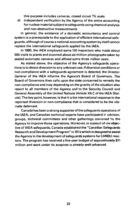this purpose includes cameras, closed circuit TV, seals,

d) Independent verification by the Agency of the entire accounting for nuclear material subject to safeguards using chemical analysis and non-destructive measurements.

In general, the existence of a domestic accountancy and control system is a prerequisite to the application of efficient international safeguards, although of course a national accounting system by itself cannot replace the international safeguards applied by the IAEA.

In 1980, the iAEA employed some 150 inspectors who made about 500 visits to plants and scanned about six million photographs taken by sealed automatic cameras and affixed some three million seals.

As stated above, the objective of the Agency's safeguards operations is to detect diversion to any unknown use. If diversion conditions or non-compliance with a safeguards agreement is detected, the Director General of the IAEA informs the Agency's Board of Governors. The Board of Governors then calls upon the state concerned to remedy the non-compliance and may depending on the gravity of the situation also report to all members of the Agency and to the Security Council and General Assembly of the United Nations (Article XII.C of the IAEA Statute). The key point, however, is that it is the international response to the reported diversion or non-compliance that is considered to be the ultimate deterrent.

Canada has been a strong supporter of the safeguards operations of the IAEA, and Canadian technical experts have participated in sdvisory groups, technical committees and other gatherings convened by the Agency to improve those operations. Moreover, in supocrt of the objective of IAEA safeguards, Canada established the "Canadian Safeguards Research and Development Program" in 1978 which is designed to assist the Agency in the development of safeguards systems for CANDU reactors. The program has received a five-year budget of approximately \$11 million and work under its auspices is already well-advanced.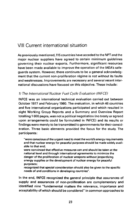## VIII Current international situation

As previously mentioned, 115 countries have acceded to the NPTand the major nuclear suppliers have agreed to certain minimum guidelines governing their nuclear exports. Furthermore, significant resources have been made available to improve the operation of the IAEA's safeguards system. However, there continues to be a general acknowledgment that the current non-proliferation régime is not without its faults and weaknesses. Improvements are necessary and several recent international discussions have focused on this objective. These include:

## 1) The International Nuclear Fuel Cycle Evaluation (INFCE)

INFCE was an international technical evaluation carried out between October 1977 and February 1980. The evaluation, in which 46 countries and five international organizations participated and which resulted in eight Working Group Reports and a Summary and Overview Report totalling 1 600 pages, was not a political negotiation (no treaty or agreed upon arrangements could be formulated in INFCE) and its results or findings were merely to be transmitted to governments for their consideration. Three basic elements provided the focus for the study. The participants:

"were conscious of the urgent need to meet the world's energy requirements and that nuclear energy for peaceful purposes should be made widely available to that end;

were convinced that effective measures can and should be taken at the national level and through international agreements to minimize the danger of the proliferation of nuclear weapons without jeopardizing energy supplies or the development of nuclear energy for peaceful purposes;

recognized that special consideration should also be given to the specific needs of and conditions in developing countries".

In the end, INFCE recognized the general principle that assurances of supply and assurances of non-proliferation are complementary and identified nine "fundamental matters the relevance, importance and acceptability of which should be considered" in common approaches to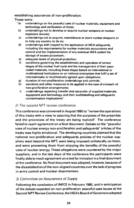establishing assurances of non-proliferation.

These were:

- "a) undertakings on the peaceful uses of nuclear materials, equipment and technology and verification of these;
- b) undertakings not to develop or acquire nuclear weapons or nuclear explosive devices;
- c) undertakings not to acquire, manufacture or store nuclear weapons or to help any country to do so;
- d) undertakings with respect to the application of IAEA safeguards, including the requirements for nuclear materials accountancy and control and the implementation of any eventual IAEA system for storage of excess plutonium;
- e) adequate levels of physical protection;
- f) conditions governing the establishment and operation of certain stages of the nuclear fuel cycle and the management of their associated materials, including those stages based on international or multinational institutions or on national enterprises that fulfil a set of internationally or multilaterally agreed upon obligations;
- g) duration of non-proliferation undertakings and controls;
- h) sanctions and other measures to be applied in the case of a breach of non-proliferation arrangements;
- i) undertakings regarding transfer and retransfer of supplied materials, equipment and technology, and their multilabelling and safeguards contamination implications".

#### 2) The second NPT review conference

This conference was convened in August 1980 to "review the operations of this treaty with a view to assuring that the purposes of the preamble and the provisions of the treaty are being realized". The conference failed to reach agreement on a final document. Debate on the "peaceful uses of nuclear energy non-proliferation and safeguards" articles of the treaty was highly emotional. The developing countries claimed that the national non-proliferation and safeguards policies of the nuclear suppliers went beyond the NPT, were being imposed unilaterally on them, and were preventing them from enjoying the benefits of the peaceful uses of nuclear energy. These allegations were countered by the major suppliers, and in the last days of the conference the participants were finally able to reach agreement on a text for inclusion in a final document of the conference. No final document was adopted, however, because of the dissatisfaction of the non-aligned countries over the lack of progress in arms control and nuclear disarmament.

## 3) Committee on Assurances of Supply

Following the conclusion of INFCE in February 1980, and in anticipation of the debate expected on non-proliferation peaceful uses issues at the Second NPT Review Conference, the IAEA's Board of Governors adopted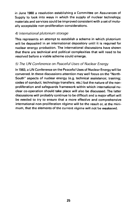in June 1980 a resolution establishing a Committee on Assurances of Supply to look into ways in which the supply of nuclear technology, materials and services could be improved consistent with a set of mutually acceptable non-proliferation considerations.

#### 4) International plutonium storage

This represents an attempt to establish a scheme in which plutonium will be deposited in an international depository until it is required for nuclear energy production. The international discussions have shown that there are technical and political complexities that will need to be resolved before a viable scheme could emerge.

## 5) The UN Conference on Peaceful Uses of Nuclear Energy

In 1983, a UN Conference on the Peaceful Uses of Nuclear Energy will be convened. In these discussions attention may well focus on the "North-South" aspects of nuclear energy (e.g. technical assistance; training; codes of conduct; technology transfers; etc.) but the nature of the nonproliferation and safeguards framework within which international nuclear co-operation should take place will also be discussed. The latter discussions will probably continue to be difficult and a major effort will be needed to try to ensure that a more effective and comprehensive international non-proliferation régime will be the result or, at the minimum, that the elements of the current régime will not be weakened.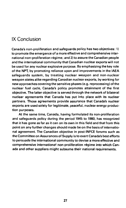## IX Conclusion

Canada's non-proliferation and safeguards policy has two objectives: 1) to promote the emergence of a more effective and comprehensive international non-proliferation regime; and 2) to assure the Canadian people and the international community that Canadian nuclear exports will not be used for any nuclear explosive purpose. By emphasizing the key role of the NPT, by promoting reliance upon and improvements in the IAEA safeguards system, by treating nuclear weapon and non-nuclear weapon states alike regarding Canadian nuclear exports, by working for new approaches covering the sensitive phases (e.g. reprocessing) of the nuclear fuel cycle, Canada's policy promotes attainment of the first objective. The latter objective is served through the network of bilateral nuclear agreements that Canada has put into place with its nuclear partners. Those agreements provide assurance that Canada's nuclear exports are used solely for legitimate, peaceful, nuclear energy production purposes.

At the same time, Canada, having formulated its non-proliferation and safeguards policy during the period 1945 to 1980, has recognized that it has gone as far as it can on its own in this field and that from this point on any further changes should made be on the basis of international agreement. The Canadian objective in post-INFCE forums such as the Committee on Assurances of Supply is to exert Canada's best efforts to persuade the international community to devise a more effective and comprehensive international non-proliferation régime into which Canada and other suppliers might subsume their national requirements.